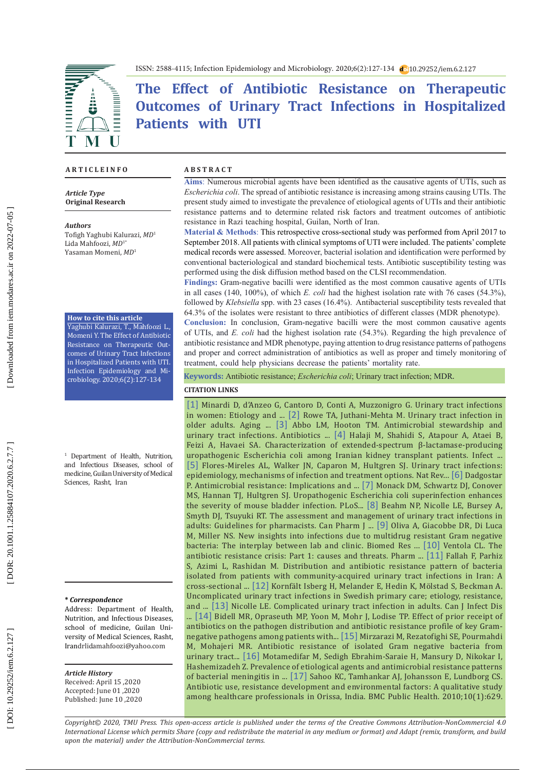

ISSN: 2588-4115; Infection Epidemiology and Microbiology. 2020;6(2):127-134 10.29252/iem.6.2.127

# **The Effect of Antibiotic Resistance on Therapeutic Outcomes of Urinary Tract Infections in Hospitalized Patients with UTI**

#### **A R T I C L E I N F O A B S T R A C T**

#### *Article Type* **Original Research**

*Authors* Tofigh Yaghubi Kalurazi, *MD* 1 Lida Mahfoozi, *MD*1\* Yasaman Momeni, *MD* 1

#### **How to cite this article**

Yaghubi Kalurazi, T., Mahfoozi L., Momeni Y. The Effect of Antibiotic Resistance on Therapeutic Out comes of Urinary Tract Infections in Hospitalized Patients with UTI. Infection Epidemiology and Mi crobiology. 2020;6(2):127-134

<sup>1</sup> Department of Health, Nutrition, and Infectious Diseases, school of medicine, Guilan University of Medical Sciences, Rasht, Iran

#### **\*** *Correspondence*

Address: Department of Health, Nutrition, and Infectious Diseases, school of medicine, Guilan Uni versity of Medical Sciences, Rasht, Irandrlidamahfoozi@yahoo.com

#### *Article History*

Received: April 15 ,2020 Accepted: June 01 ,2020 Published: June 10 ,2020

**Aims** : Numerous microbial agents have been identified as the causative agents of UTIs, such as *Escherichia coli*. The spread of antibiotic resistance is increasing among strains causing UTIs. The present study aimed to investigate the prevalence of etiological agents of UTIs and their antibiotic resistance patterns and to determine related risk factors and treatment outcomes of antibiotic resistance in Razi teaching hospital, Guilan, North of Iran.

**Material & Methods** : This retrospective cross-sectional study was performed from April 2017 to September 2018. All patients with clinical symptoms of UTI were included. The patients' complete medical records were assessed. Moreover, bacterial isolation and identification were performed by conventional bacteriological and standard biochemical tests. Antibiotic susceptibility testing was performed using the disk diffusion method based on the CLSI recommendation.

**Findings:** Gram-negative bacilli were identified as the most common causative agents of UTIs in all cases (140, 100%), of which *E. coli* had the highest isolation rate with 76 cases (54.3%), followed by *Klebsiella* spp. with 23 cases (16.4%). Antibacterial susceptibility tests revealed that 64.3% of the isolates were resistant to three antibiotics of different classes (MDR phenotype).

**Conclusion:** In conclusion, Gram-negative bacilli were the most common causative agents of UTIs, and *E. coli* had the highest isolation rate (54.3%). Regarding the high prevalence of antibiotic resistance and MDR phenotype, paying attention to drug resistance patterns of pathogens and proper and correct administration of antibiotics as well as proper and timely monitoring of treatment, could help physicians decrease the patients' mortality rate.

**Keywords:** Antibiotic resistance; *Escherichia coli*; Urinary tract infection; MDR .

#### **CITATION LINKS**

[\[1\]](https://www.ncbi.nlm.nih.gov/pmc/articles/PMC3108201/) Minardi D, d'Anzeo G, Cantoro D, Conti A, Muzzonigro G. Urinary tract infections in women: Etiology and ... [\[2\]](https://www.futuremedicine.com/doi/abs/10.2217/ahe.13.38) Rowe TA, Juthani-Mehta M. Urinary tract infection in older adults. Aging ... [\[3\]](https://www.mdpi.com/2079-6382/3/2/174) Abbo LM, Hooton TM. Antimicrobial stewardship and urinary tract infections. Antibiotics ... [\[4\]](https://www.ncbi.nlm.nih.gov/pmc/articles/PMC7237106/) Halaji M, Shahidi S, Atapour A, Ataei B, Feizi A, Havaei SA. Characterization of extended-spectrum β-lactamase-producing uropathogenic Escherichia coli among Iranian kidney transplant patients. Infect ... [\[5\]](https://www.nature.com/articles/nrmicro3432) Flores-Mireles AL, Walker JN, Caparon M, Hultgren SJ. Urinary tract infections: epidemiology, mechanisms of infection and treatment options. Nat Rev... [\[6\]](https://www.ncbi.nlm.nih.gov/pmc/articles/PMC6929930/) Dadgostar P. Antimicrobial resistance: Implications and ... [\[7\]](https://journals.plos.org/plospathogens/article?id=10.1371/journal.ppat.1004599) Monack DM, Schwartz DJ, Conover MS, Hannan TJ, Hultgren SJ. Uropathogenic Escherichia coli superinfection enhances the severity of mouse bladder infection. PLoS... [\[8\]](https://www.ncbi.nlm.nih.gov/pmc/articles/PMC5582677/) Beahm NP, Nicolle LE, Bursey A, Smyth DJ, Tsuyuki RT. The assessment and management of urinary tract infections in adults: Guidelines for pharmacists. Can Pharm J ... [\[9\]](https://www.ncbi.nlm.nih.gov/pubmed/30671476) Oliva A, Giacobbe DR, Di Luca M, Miller NS. New insights into infections due to multidrug resistant Gram negative bacteria: The interplay between lab and clinic. Biomed Res ... [\[10\]](https://pubmed.ncbi.nlm.nih.gov/25859123/) Ventola CL. The antibiotic resistance crisis: Part 1: causes and threats. Pharm ... [\[11\]](https://www.sid.ir/FileServer/JE/50009920180208.pdf) Fallah F, Parhiz S, Azimi L, Rashidan M. Distribution and antibiotic resistance pattern of bacteria isolated from patients with community-acquired urinary tract infections in Iran: A cross-sectional ... [\[12\]](https://bmcinfectdis.biomedcentral.com/articles/10.1186/s12879-019-3785-x) Kornfält Isberg H, Melander E, Hedin K, Mölstad S, Beckman A. Uncomplicated urinary tract infections in Swedish primary care; etiology, resistance, and ... [\[13\]](https://pubmed.ncbi.nlm.nih.gov/18159518/) Nicolle LE. Complicated urinary tract infection in adults. Can J Infect Dis ... [\[14\]](https://link.springer.com/article/10.1186/s12879-017-2270-7) Bidell MR, Opraseuth MP, Yoon M, Mohr J, Lodise TP. Effect of prior receipt of antibiotics on the pathogen distribution and antibiotic resistance profile of key Gramnegative pathogens among patients with... [\[15\]](https://www.researchgate.net/profile/Seyedeh_Elham_Rezatofighi/publication/259494688_Antibiotic_Resistance_of_Isolated_Gram_Negative_Bacteria_From_Urinary_Tract_Infections_UTIs_in_Isfahan/links/00b7d52c438d585166000000/Antibiotic-Resistance-of-Isolated-Gr\
am-Negative-Bacteria-From-Urinary-Tract-Infections-UTIs-in-Isfahan.pdf) Mirzarazi M, Rezatofighi SE, Pourmahdi M, Mohajeri MR. Antibiotic resistance of isolated Gram negative bacteria from urinary tract... [\[16\]](https://sites.kowsarpub.com/archcid/articles/20953.html) Motamedifar M, Sedigh Ebrahim-Saraie H, Mansury D, Nikokar I, Hashemizadeh Z. Prevalence of etiological agents and antimicrobial resistance patterns of bacterial meningitis in ... [\[17\]](https://pubmed.ncbi.nlm.nih.gov/20964815/) Sahoo KC, Tamhankar AJ, Johansson E, Lundborg CS. Antibiotic use, resistance development and environmental factors: A qualitative study among healthcare professionals in Orissa, India. BMC Public Health. 2010;10(1):629.

*Copyright© 2020, TMU Press. This open-access article is published under the terms of the Creative Commons Attribution-NonCommercial 4.0 International License which permits Share (copy and redistribute the material in any medium or format) and Adapt (remix, transform, and build upon the material) under the Attribution-NonCommercial terms.*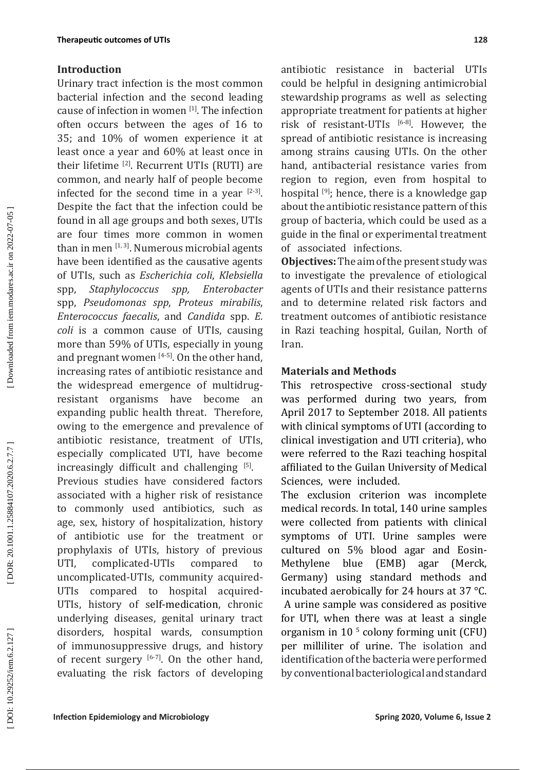## **Introduction**

Urinary tract infection is the most common bacterial infection and the second leading cause of infection in women [1]. The infection often occurs between the ages of 16 to 35; and 10% of women experience it at least once a year and 60% at least once in their lifetime [2]. Recurrent UTIs (RUTI) are common, and nearly half of people become infected for the second time in a year  $[2-3]$ . Despite the fact that the infection could be found in all age groups and both sexes, UTIs are four times more common in women than in men  $[1, 3]$ . Numerous microbial agents have been identified as the causative agents of UTIs, such as *Escherichia coli*, *Klebsiella* spp, *Staphylococcus spp, Enterobacter* spp, *Pseudomonas spp*, *Proteus mirabilis*, *Enterococcus faecalis*, and *Candida* spp. *E. coli* is a common cause of UTIs, causing more than 59% of UTIs, especially in young and pregnant women  $[4-5]$ . On the other hand, increasing rates of antibiotic resistance and the widespread emergence of multidrugresistant organisms have become an expanding public health threat. Therefore, owing to the emergence and prevalence of antibiotic resistance, treatment of UTIs, especially complicated UTI, have become  $\frac{1}{5}$  increasingly difficult and challenging  $\frac{1}{5}$ . Previous studies have considered factors associated with a higher risk of resistance to commonly used antibiotics, such as age, sex, history of hospitalization, history of antibiotic use for the treatment or prophylaxis of UTIs, history of previous UTI, complicated-UTIs compared to uncomplicated-UTIs, community acquired-UTIs compared to hospital acquired-UTIs, history of [self-medication,](https://www.ncbi.nlm.nih.gov/pmc/articles/PMC4012703/) chronic underlying diseases, genital urinary tract disorders, hospital wards, consumption of immunosuppressive drugs, and history of recent surgery  $[6-7]$ . On the other hand, evaluating the risk factors of developing antibiotic resistance in bacterial UTIs could be helpful in designing antimicrobial stewardship programs as well as selecting appropriate treatment for patients at higher risk of resistant-UTIs [6-8]. However, the spread of antibiotic resistance is increasing among strains causing UTIs. On the other hand, antibacterial resistance varies from region to region, even from hospital to hospital  $[9]$ ; hence, there is a knowledge gap about the antibiotic resistance pattern of this group of bacteria, which could be used as a guide in the final or experimental treatment of associated infections.

**Objectives:** The aim of the present study was to investigate the prevalence of etiological agents of UTIs and their resistance patterns and to determine related risk factors and treatment outcomes of antibiotic resistance in Razi teaching hospital, Guilan, North of Iran.

### **Materials and Methods**

This retrospective cross-sectional study was performed during two years, from April 2017 to September 2018. All patients with clinical symptoms of UTI (according to clinical investigation and UTI criteria), who were referred to the Razi teaching hospital affiliated to the Guilan University of Medical Sciences, were included.

The exclusion criterion was incomplete medical records. In total, 140 urine samples were collected from patients with clinical symptoms of UTI. Urine samples were cultured on 5% blood agar and Eosin-Methylene blue (EMB) agar (Merck, Germany) using standard methods and incubated aerobically for 24 hours at 37 °C. A urine sample was considered as positive for UTI, when there was at least a single organism in 10 5 colony forming unit (CFU) per milliliter of urine. The isolation and identification of the bacteria were performed by conventional bacteriological and standard

DOI: 10.29252/iem.6.2.127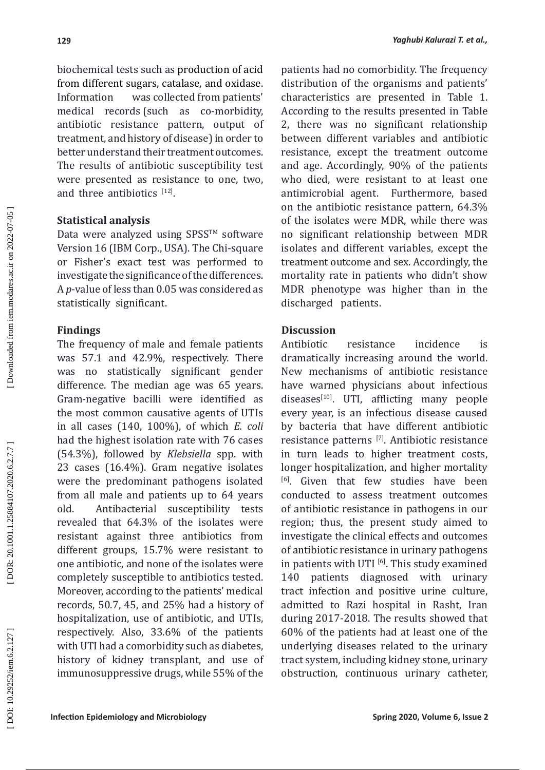biochemical tests such as production of acid from different sugars, catalase, and oxidase. Information was collected from patients' medical records (such as co-morbidity, antibiotic resistance pattern, output of treatment, and history of disease) in order to better understand their treatment outcomes. The results of antibiotic susceptibility test were presented as resistance to one, two, and three antibiotics [12].

# **Statistical analysis**

Data were analyzed using SPSS $TM$  software Version 16 (IBM Corp., USA). The Chi-square or Fisher's exact test was performed to investigate the significance of the differences. A *p*-value of less than 0.05 was considered as statistically significant.

# **Findings**

The frequency of male and female patients was 57.1 and 42.9%, respectively. There was no statistically significant gender difference. The median age was 65 years. Gram-negative bacilli were identified as the most common causative agents of UTIs in all cases (140, 100%), of which *E. coli* had the highest isolation rate with 76 cases (54.3%), followed by *Klebsiella* spp. with 23 cases (16.4%). Gram negative isolates were the predominant pathogens isolated from all male and patients up to 64 years old. Antibacterial susceptibility tests revealed that 64.3% of the isolates were resistant against three antibiotics from different groups, 15.7% were resistant to one antibiotic, and none of the isolates were completely susceptible to antibiotics tested. Moreover, according to the patients' medical records, 50.7, 45, and 25% had a history of hospitalization, use of antibiotic, and UTIs, respectively. Also, 33.6% of the patients with UTI had a comorbidity such as diabetes, history of kidney transplant, and use of immunosuppressive drugs, while 55% of the patients had no comorbidity. The frequency distribution of the organisms and patients' characteristics are presented in Table 1. According to the results presented in Table 2, there was no significant relationship between different variables and antibiotic resistance, except the treatment outcome and age. Accordingly, 90% of the patients who died, were resistant to at least one antimicrobial agent. Furthermore, based on the antibiotic resistance pattern, 64.3% of the isolates were MDR, while there was no significant relationship between MDR isolates and different variables, except the treatment outcome and sex. Accordingly, the mortality rate in patients who didn't show MDR phenotype was higher than in the discharged patients.

# **Discussion**

Antibiotic resistance incidence is dramatically increasing around the world. New mechanisms of antibiotic resistance have warned physicians about infectious  $diseases<sup>[10]</sup>$ . UTI, afflicting many people every year, is an infectious disease caused by bacteria that have different antibiotic resistance patterns [7]. Antibiotic resistance in turn leads to higher treatment costs, longer hospitalization, and higher mortality <sup>[6]</sup>. Given that few studies have been conducted to assess treatment outcomes of antibiotic resistance in pathogens in our region; thus, the present study aimed to investigate the clinical effects and outcomes of antibiotic resistance in urinary pathogens in patients with UTI  $^{[6]}$ . This study examined 140 patients diagnosed with urinary patients diagnosed with urinary tract infection and positive urine culture, admitted to Razi hospital in Rasht, Iran during 2017-2018. The results showed that 60% of the patients had at least one of the underlying diseases related to the urinary tract system, including kidney stone, urinary obstruction, continuous urinary catheter,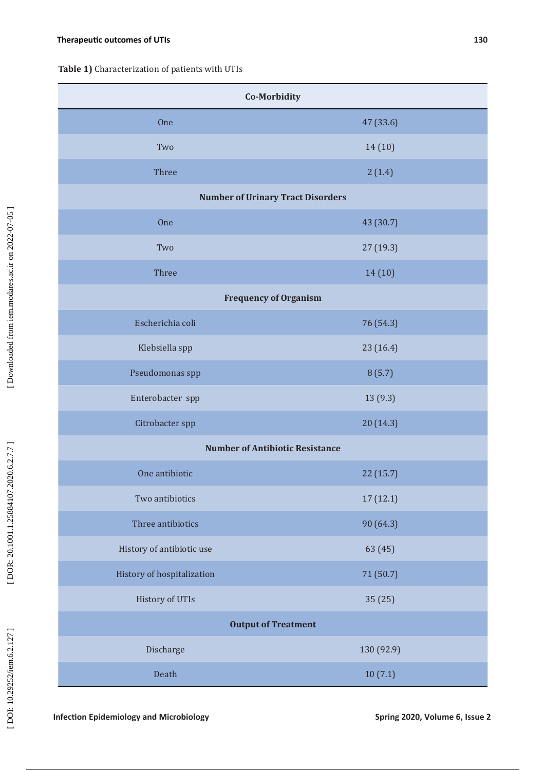**Table 1)** Characterization of patients with UTIs

| Co-Morbidity                             |            |  |  |  |  |
|------------------------------------------|------------|--|--|--|--|
| One                                      | 47 (33.6)  |  |  |  |  |
| Two                                      | 14(10)     |  |  |  |  |
| Three                                    | 2(1.4)     |  |  |  |  |
| <b>Number of Urinary Tract Disorders</b> |            |  |  |  |  |
| <b>One</b>                               | 43 (30.7)  |  |  |  |  |
| Two                                      | 27 (19.3)  |  |  |  |  |
| Three                                    | 14(10)     |  |  |  |  |
| <b>Frequency of Organism</b>             |            |  |  |  |  |
| Escherichia coli                         | 76 (54.3)  |  |  |  |  |
| Klebsiella spp                           | 23 (16.4)  |  |  |  |  |
| Pseudomonas spp                          | 8(5.7)     |  |  |  |  |
| Enterobacter spp                         | 13 (9.3)   |  |  |  |  |
| Citrobacter spp                          | 20 (14.3)  |  |  |  |  |
| <b>Number of Antibiotic Resistance</b>   |            |  |  |  |  |
| One antibiotic                           | 22 (15.7)  |  |  |  |  |
| Two antibiotics                          | 17(12.1)   |  |  |  |  |
| Three antibiotics                        | 90 (64.3)  |  |  |  |  |
| History of antibiotic use                | 63 (45)    |  |  |  |  |
| History of hospitalization               | 71 (50.7)  |  |  |  |  |
| History of UTIs                          | 35 (25)    |  |  |  |  |
| <b>Output of Treatment</b>               |            |  |  |  |  |
| Discharge                                | 130 (92.9) |  |  |  |  |
| Death                                    | 10(7.1)    |  |  |  |  |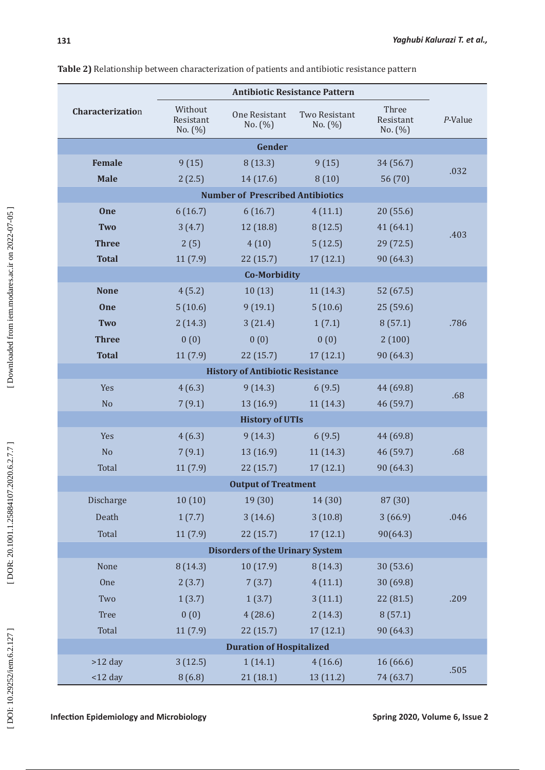|                                         | <b>Antibiotic Resistance Pattern</b> |                              |                              |                                   |         |  |
|-----------------------------------------|--------------------------------------|------------------------------|------------------------------|-----------------------------------|---------|--|
| Characterization                        | Without<br>Resistant<br>No. $(\% )$  | One Resistant<br>No. $(\% )$ | Two Resistant<br>No. $(\% )$ | Three<br>Resistant<br>No. $(\% )$ | P-Value |  |
| Gender                                  |                                      |                              |                              |                                   |         |  |
| <b>Female</b>                           | 9(15)                                | 8(13.3)                      | 9(15)                        | 34 (56.7)                         |         |  |
| <b>Male</b>                             | 2(2.5)                               | 14 (17.6)                    | 8(10)                        | 56 (70)                           | .032    |  |
| <b>Number of Prescribed Antibiotics</b> |                                      |                              |                              |                                   |         |  |
| One                                     | 6(16.7)                              | 6(16.7)                      | 4(11.1)                      | 20(55.6)                          |         |  |
| <b>Two</b>                              | 3(4.7)                               | 12 (18.8)                    | 8(12.5)                      | 41(64.1)                          |         |  |
| <b>Three</b>                            | 2(5)                                 | 4(10)                        | 5(12.5)                      | 29(72.5)                          | .403    |  |
| <b>Total</b>                            | 11(7.9)                              | 22(15.7)                     | 17(12.1)                     | 90 (64.3)                         |         |  |
| <b>Co-Morbidity</b>                     |                                      |                              |                              |                                   |         |  |
| <b>None</b>                             | 4(5.2)                               | 10(13)                       | 11(14.3)                     | 52 (67.5)                         |         |  |
| One                                     | 5(10.6)                              | 9(19.1)                      | 5(10.6)                      | 25(59.6)                          |         |  |
| <b>Two</b>                              | 2(14.3)                              | 3(21.4)                      | 1(7.1)                       | 8(57.1)                           | .786    |  |
| <b>Three</b>                            | 0(0)                                 | 0(0)                         | 0(0)                         | 2(100)                            |         |  |
| <b>Total</b>                            | 11(7.9)                              | 22(15.7)                     | 17(12.1)                     | 90 (64.3)                         |         |  |
| <b>History of Antibiotic Resistance</b> |                                      |                              |                              |                                   |         |  |
| Yes                                     | 4(6.3)                               | 9(14.3)                      | 6(9.5)                       | 44 (69.8)                         |         |  |
| N <sub>o</sub>                          | 7(9.1)                               | 13(16.9)                     | 11(14.3)                     | 46 (59.7)                         | .68     |  |
| <b>History of UTIs</b>                  |                                      |                              |                              |                                   |         |  |
| Yes                                     | 4(6.3)                               | 9(14.3)                      | 6(9.5)                       | 44 (69.8)                         |         |  |
| N <sub>o</sub>                          | 7(9.1)                               | 13(16.9)                     | 11(14.3)                     | 46 (59.7)                         | .68     |  |
| Total                                   | 11(7.9)                              | 22(15.7)                     | 17(12.1)                     | 90 (64.3)                         |         |  |
| <b>Output of Treatment</b>              |                                      |                              |                              |                                   |         |  |
| Discharge                               | 10(10)                               | 19 (30)                      | 14 (30)                      | 87 (30)                           |         |  |
| Death                                   | 1(7.7)                               | 3(14.6)                      | 3(10.8)                      | 3(66.9)                           | .046    |  |
| Total                                   | 11(7.9)                              | 22(15.7)                     | 17(12.1)                     | 90(64.3)                          |         |  |
| <b>Disorders of the Urinary System</b>  |                                      |                              |                              |                                   |         |  |
| None                                    | 8(14.3)                              | 10(17.9)                     | 8(14.3)                      | 30 (53.6)                         |         |  |
| <b>One</b>                              | 2(3.7)                               | 7(3.7)                       | 4(11.1)                      | 30(69.8)                          |         |  |
| Two                                     | 1(3.7)                               | 1(3.7)                       | 3(11.1)                      | 22(81.5)                          | .209    |  |
| Tree                                    | 0(0)                                 | 4(28.6)                      | 2(14.3)                      | 8(57.1)                           |         |  |
| Total                                   | 11(7.9)                              | 22(15.7)                     | 17(12.1)                     | 90 (64.3)                         |         |  |
| <b>Duration of Hospitalized</b>         |                                      |                              |                              |                                   |         |  |
| $>12$ day                               | 3(12.5)                              | 1(14.1)                      | 4(16.6)                      | 16 (66.6)                         |         |  |
| $<$ 12 day                              | 8(6.8)                               | 21 (18.1)                    | 13 (11.2)                    | 74 (63.7)                         | .505    |  |

**Table 2)** Relationship between characterization of patients and antibiotic resistance pattern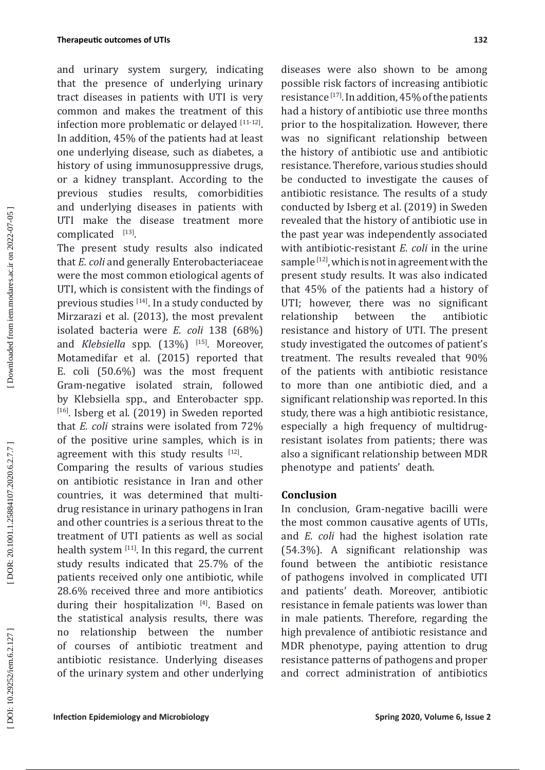#### **Therapeutic outcomes of UTIs**

and urinary system surgery, indicating that the presence of underlying urinary tract diseases in patients with UTI is very common and makes the treatment of this infection more problematic or delayed  $[11-12]$ . In addition, 45% of the patients had at least one underlying disease, such as diabetes, a history of using immunosuppressive drugs, or a kidney transplant. According to the previous studies results, comorbidities and underlying diseases in patients with UTI make the disease treatment more complicated  $[13]$ .

The present study results also indicated that *E. coli* and generally Enterobacteriaceae were the most common etiological agents of UTI, which is consistent with the findings of previous studies  $[14]$ . In a study conducted by Mirzarazi et al. (2013), the most prevalent isolated bacteria were *E. coli* 138 (68%) and *Klebsiella* spp. (13%) [15]. Moreover, Motamedifar et al. (2015) reported that E. coli (50.6%) was the most frequent Gram-negative isolated strain, followed by Klebsiella spp., and Enterobacter spp . [16]. Isberg et al. (2019) in Sweden reported that *E. coli* strains were isolated from 72% of the positive urine samples, which is in agreement with this study results  $[12]$ .

Comparing the results of various studies on antibiotic resistance in Iran and other countries, it was determined that multidrug resistance in urinary pathogens in Iran and other countries is a serious threat to the treatment of UTI patients as well as social health system  $[11]$ . In this regard, the current study results indicated that 25.7% of the patients received only one antibiotic, while 28.6% received three and more antibiotics during their hospitalization [4]. Based on the statistical analysis results, there was no relationship between the number of courses of antibiotic treatment and antibiotic resistance. Underlying diseases of the urinary system and other underlying

**Infection Epidemiology and Microbiology Spring 2020, Volume 6, Issue 2**

diseases were also shown to be among possible risk factors of increasing antibiotic resistance [17]. In addition, 45% of the patients had a history of antibiotic use three months prior to the hospitalization. However, there was no significant relationship between the history of antibiotic use and antibiotic resistance. Therefore, various studies should be conducted to investigate the causes of antibiotic resistance. The results of a study conducted by Isberg et al. (2019) in Sweden revealed that the history of antibiotic use in the past year was independently associated with antibiotic-resistant *E. coli* in the urine sample [12], which is not in agreement with the present study results. It was also indicated that 45% of the patients had a history of UTI; however, there was no significant relationship between the antibiotic resistance and history of UTI. The present study investigated the outcomes of patient's treatment. The results revealed that 90% of the patients with antibiotic resistance to more than one antibiotic died, and a significant relationship was reported. In this study, there was a high antibiotic resistance, especially a high frequency of multidrugresistant isolates from patients; there was also a significant relationship between MDR phenotype and patients' death.

#### **Conclusion**

In conclusion, Gram-negative bacilli were the most common causative agents of UTIs, and *E. coli* had the highest isolation rate (54.3%). A significant relationship was found between the antibiotic resistance of pathogens involved in complicated UTI and patients' death. Moreover, antibiotic resistance in female patients was lower than in male patients. Therefore, regarding the high prevalence of antibiotic resistance and MDR phenotype, paying attention to drug resistance patterns of pathogens and proper and correct administration of antibiotics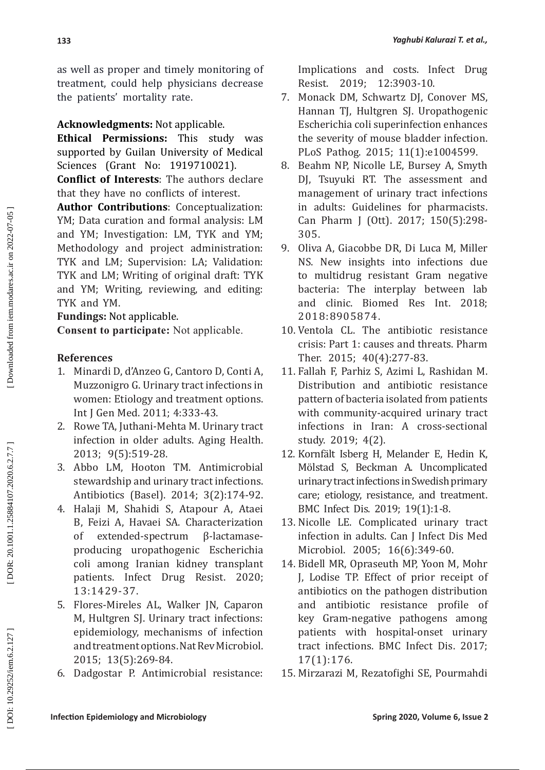as well as proper and timely monitoring of treatment, could help physicians decrease the patients' mortality rate.

# **Acknowledgments:** Not applicable.

**Ethical Permissions:** This study was supported by Guilan University of Medical Sciences (Grant No: 1919710021).

**Conflict of Interests**: The authors declare that they have no conflicts of interest.

**Author Contributions**: Conceptualization: YM; Data curation and formal analysis: LM and YM; Investigation: LM, TYK and YM; Methodology and project administration: TYK and LM; Supervision: LA; Validation: TYK and LM; Writing of original draft: TYK and YM; Writing, reviewing, and editing: TYK and YM.

**Fundings:** Not applicable.

**Consent to participate:** Not applicable.

# **References**

- 1. Minardi D, d'Anzeo G, Cantoro D, Conti A, Muzzonigro G. Urinary tract infections in women: Etiology and treatment options. Int J Gen Med. 2011; 4:333-43.
- 2. Rowe TA, Juthani-Mehta M. Urinary tract infection in older adults. Aging Health. 2013; 9(5):519-28.
- 3. Abbo LM, Hooton TM. Antimicrobial stewardship and urinary tract infections. Antibiotics (Basel). 2014; 3(2):174-92.
- 4. Halaji M, Shahidi S, Atapour A, Ataei B, Feizi A, Havaei SA. Characterization of extended-spectrum β-lactamaseproducing uropathogenic Escherichia coli among Iranian kidney transplant patients. Infect Drug Resist. 2020; 13:1429-37.
- 5. Flores-Mireles AL, Walker JN, Caparon M, Hultgren SJ. Urinary tract infections: epidemiology, mechanisms of infection and treatment options. Nat Rev Microbiol. 2015; 13(5):269-84.
- 6. Dadgostar P. Antimicrobial resistance:

Implications and costs. Infect Drug Resist. 2019; 12:3903-10.

- 7. Monack DM, Schwartz DJ, Conover MS, Hannan TJ, Hultgren SJ. Uropathogenic Escherichia coli superinfection enhances the severity of mouse bladder infection. PLoS Pathog. 2015; 11(1):e1004599.
- 8. Beahm NP, Nicolle LE, Bursey A, Smyth DJ, Tsuyuki RT. The assessment and management of urinary tract infections in adults: Guidelines for pharmacists. Can Pharm J (Ott). 2017; 150(5):298- 305.
- 9. Oliva A, Giacobbe DR, Di Luca M, Miller NS. New insights into infections due to multidrug resistant Gram negative bacteria: The interplay between lab and clinic. Biomed Res Int. 2018; 2018:8905874.
- 10. Ventola CL. The antibiotic resistance crisis: Part 1: causes and threats. Pharm Ther. 2015; 40(4):277-83.
- 11. Fallah F, Parhiz S, Azimi L, Rashidan M. Distribution and antibiotic resistance pattern of bacteria isolated from patients with community-acquired urinary tract infections in Iran: A cross-sectional study. 2019; 4(2).
- 12. Kornfält Isberg H, Melander E, Hedin K, Mölstad S, Beckman A. Uncomplicated urinary tract infections in Swedish primary care; etiology, resistance, and treatment. BMC Infect Dis. 2019; 19(1):1-8.
- 13. Nicolle LE. Complicated urinary tract infection in adults. Can J Infect Dis Med Microbiol. 2005; 16(6):349-60.
- 14. Bidell MR, Opraseuth MP, Yoon M, Mohr J, Lodise TP. Effect of prior receipt of antibiotics on the pathogen distribution and antibiotic resistance profile of key Gram-negative pathogens among patients with hospital-onset urinary tract infections. BMC Infect Dis. 2017; 17(1):176.
- 15. Mirzarazi M, Rezatofighi SE, Pourmahdi